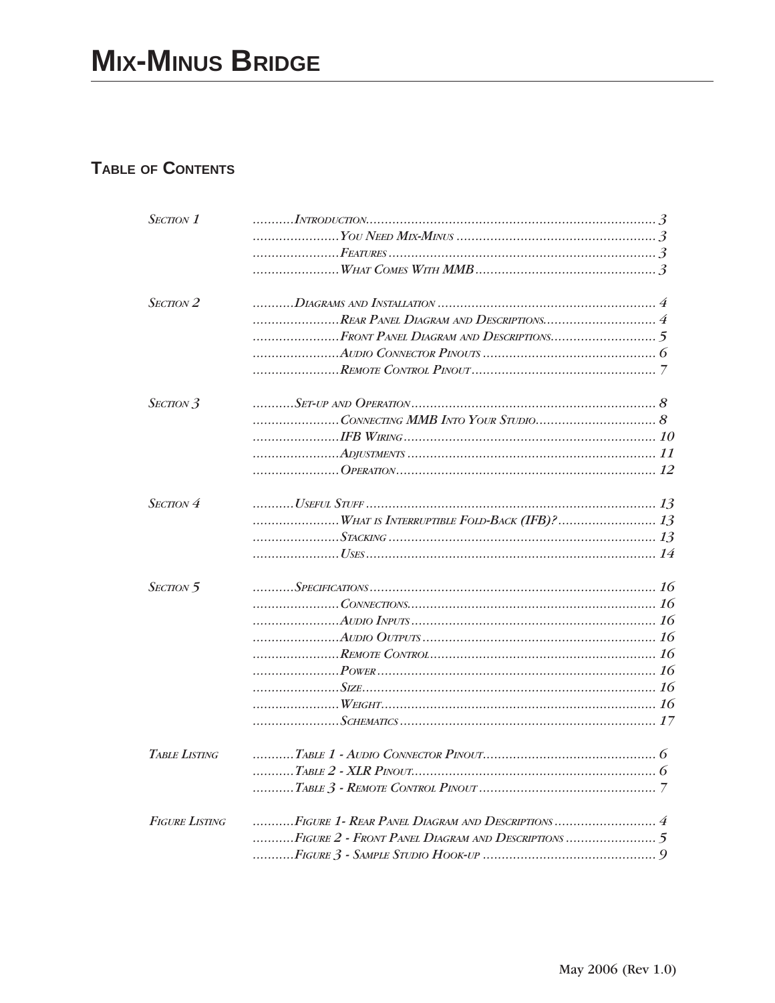## TABLE OF CONTENTS

| SECTION <sub>1</sub>  |  |
|-----------------------|--|
|                       |  |
|                       |  |
|                       |  |
| $S_{ECTION}$ 2        |  |
|                       |  |
|                       |  |
|                       |  |
|                       |  |
| SECTION 3             |  |
|                       |  |
|                       |  |
|                       |  |
|                       |  |
| $S_{ECTION}$ 4        |  |
|                       |  |
|                       |  |
|                       |  |
| SECTION 5             |  |
|                       |  |
|                       |  |
|                       |  |
|                       |  |
|                       |  |
|                       |  |
|                       |  |
|                       |  |
| <b>TABLE LISTING</b>  |  |
|                       |  |
|                       |  |
| <b>FIGURE LISTING</b> |  |
|                       |  |
|                       |  |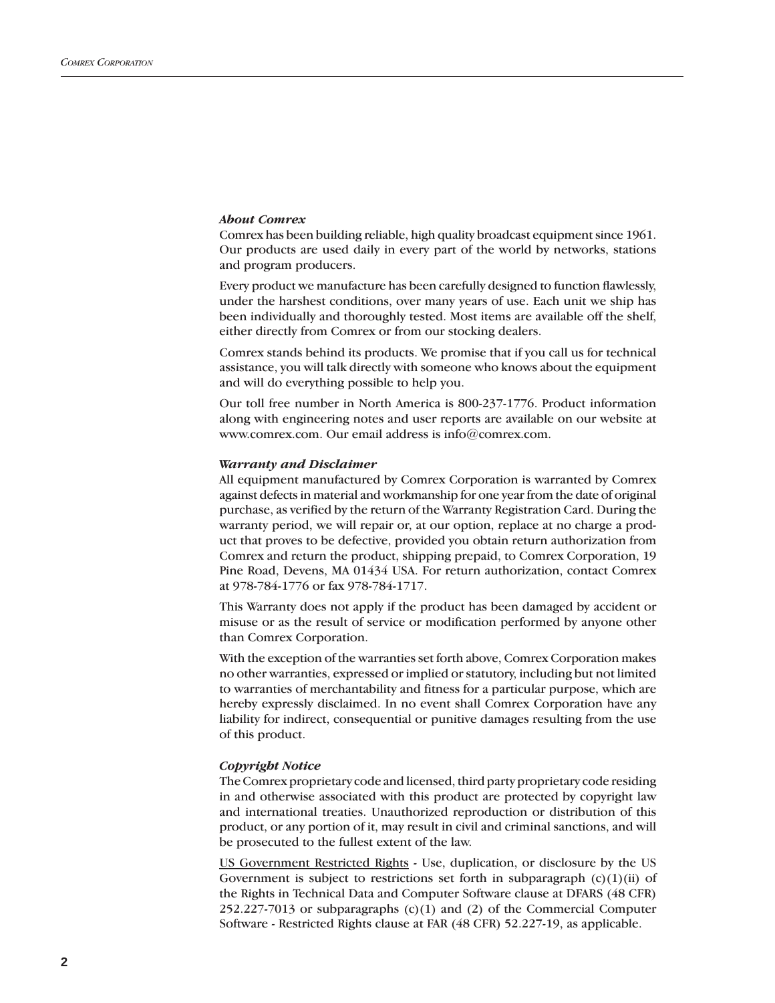#### *About Comrex*

Comrex has been building reliable, high quality broadcast equipment since 1961. Our products are used daily in every part of the world by networks, stations and program producers.

Every product we manufacture has been carefully designed to function flawlessly, under the harshest conditions, over many years of use. Each unit we ship has been individually and thoroughly tested. Most items are available off the shelf, either directly from Comrex or from our stocking dealers.

Comrex stands behind its products. We promise that if you call us for technical assistance, you will talk directly with someone who knows about the equipment and will do everything possible to help you.

Our toll free number in North America is 800-237-1776. Product information along with engineering notes and user reports are available on our website at www.comrex.com. Our email address is info@comrex.com.

#### *Warranty and Disclaimer*

All equipment manufactured by Comrex Corporation is warranted by Comrex against defects in material and workmanship for one year from the date of original purchase, as verified by the return of the Warranty Registration Card. During the warranty period, we will repair or, at our option, replace at no charge a product that proves to be defective, provided you obtain return authorization from Comrex and return the product, shipping prepaid, to Comrex Corporation, 19 Pine Road, Devens, MA 01434 USA. For return authorization, contact Comrex at 978-784-1776 or fax 978-784-1717.

This Warranty does not apply if the product has been damaged by accident or misuse or as the result of service or modification performed by anyone other than Comrex Corporation.

With the exception of the warranties set forth above, Comrex Corporation makes no other warranties, expressed or implied or statutory, including but not limited to warranties of merchantability and fitness for a particular purpose, which are hereby expressly disclaimed. In no event shall Comrex Corporation have any liability for indirect, consequential or punitive damages resulting from the use of this product.

#### *Copyright Notice*

The Comrex proprietary code and licensed, third party proprietary code residing in and otherwise associated with this product are protected by copyright law and international treaties. Unauthorized reproduction or distribution of this product, or any portion of it, may result in civil and criminal sanctions, and will be prosecuted to the fullest extent of the law.

US Government Restricted Rights - Use, duplication, or disclosure by the US Government is subject to restrictions set forth in subparagraph  $(c)(1)(ii)$  of the Rights in Technical Data and Computer Software clause at DFARS (48 CFR)  $252.227-7013$  or subparagraphs  $(c)(1)$  and  $(2)$  of the Commercial Computer Software - Restricted Rights clause at FAR (48 CFR) 52.227-19, as applicable.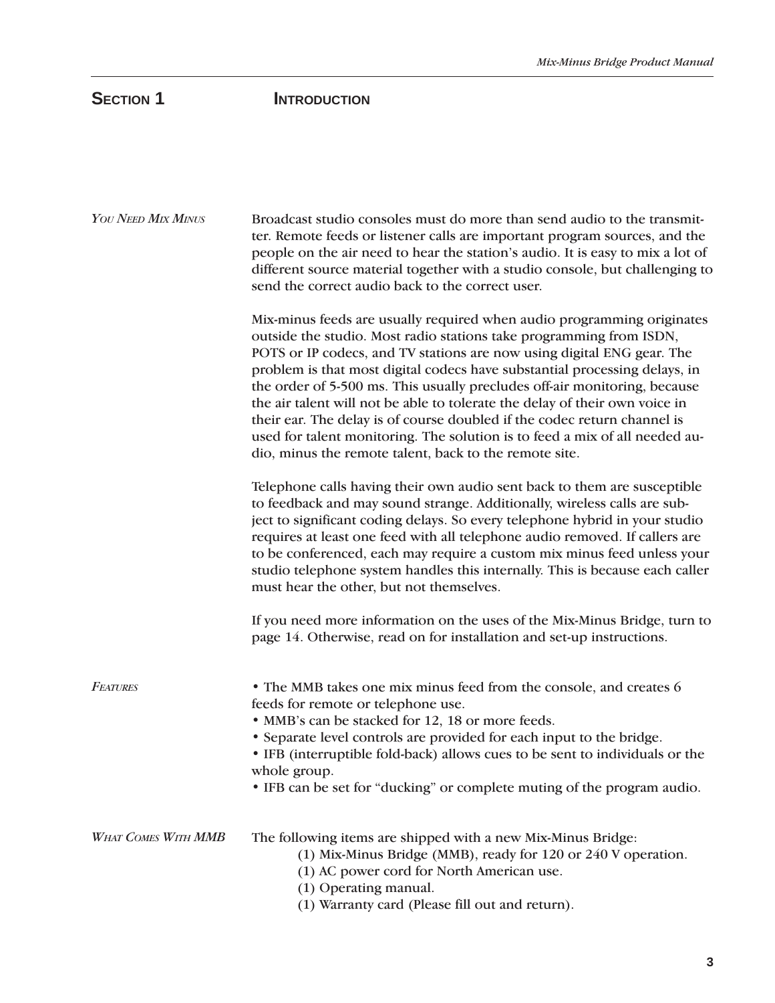# **SECTION 1 INTRODUCTION**

| YOU NEED MIX MINUS         | Broadcast studio consoles must do more than send audio to the transmit-<br>ter. Remote feeds or listener calls are important program sources, and the<br>people on the air need to hear the station's audio. It is easy to mix a lot of<br>different source material together with a studio console, but challenging to<br>send the correct audio back to the correct user.                                                                                                                                                                                                                                                                                                            |
|----------------------------|----------------------------------------------------------------------------------------------------------------------------------------------------------------------------------------------------------------------------------------------------------------------------------------------------------------------------------------------------------------------------------------------------------------------------------------------------------------------------------------------------------------------------------------------------------------------------------------------------------------------------------------------------------------------------------------|
|                            | Mix-minus feeds are usually required when audio programming originates<br>outside the studio. Most radio stations take programming from ISDN,<br>POTS or IP codecs, and TV stations are now using digital ENG gear. The<br>problem is that most digital codecs have substantial processing delays, in<br>the order of 5-500 ms. This usually precludes off-air monitoring, because<br>the air talent will not be able to tolerate the delay of their own voice in<br>their ear. The delay is of course doubled if the codec return channel is<br>used for talent monitoring. The solution is to feed a mix of all needed au-<br>dio, minus the remote talent, back to the remote site. |
|                            | Telephone calls having their own audio sent back to them are susceptible<br>to feedback and may sound strange. Additionally, wireless calls are sub-<br>ject to significant coding delays. So every telephone hybrid in your studio<br>requires at least one feed with all telephone audio removed. If callers are<br>to be conferenced, each may require a custom mix minus feed unless your<br>studio telephone system handles this internally. This is because each caller<br>must hear the other, but not themselves.                                                                                                                                                              |
|                            | If you need more information on the uses of the Mix-Minus Bridge, turn to<br>page 14. Otherwise, read on for installation and set-up instructions.                                                                                                                                                                                                                                                                                                                                                                                                                                                                                                                                     |
| <b>FEATURES</b>            | • The MMB takes one mix minus feed from the console, and creates 6<br>feeds for remote or telephone use.<br>• MMB's can be stacked for 12, 18 or more feeds.<br>• Separate level controls are provided for each input to the bridge.<br>• IFB (interruptible fold-back) allows cues to be sent to individuals or the<br>whole group.<br>• IFB can be set for "ducking" or complete muting of the program audio.                                                                                                                                                                                                                                                                        |
| <b>WHAT COMES WITH MMB</b> | The following items are shipped with a new Mix-Minus Bridge:<br>(1) Mix-Minus Bridge (MMB), ready for 120 or 240 V operation.<br>(1) AC power cord for North American use.<br>(1) Operating manual.<br>(1) Warranty card (Please fill out and return).                                                                                                                                                                                                                                                                                                                                                                                                                                 |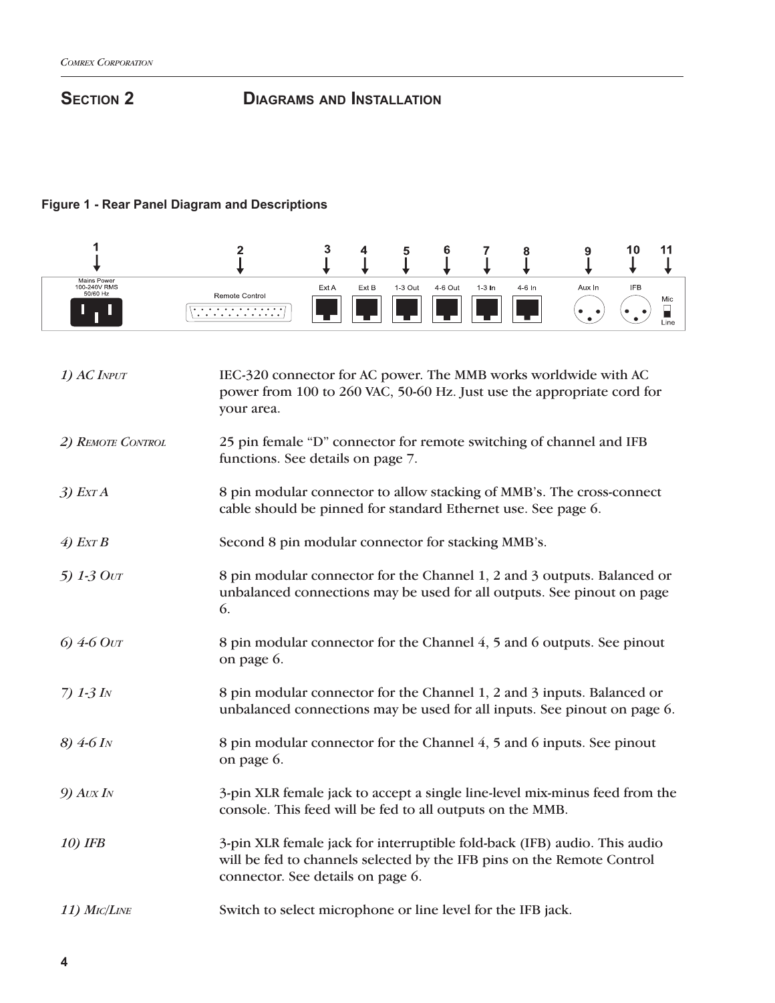# **SECTION 2** DIAGRAMS AND INSTALLATION

## **Figure 1 - Rear Panel Diagram and Descriptions**

|                                         |                          |       |       |         |         |          |        |                               | $\sim$<br>1 U | $-1-$            |
|-----------------------------------------|--------------------------|-------|-------|---------|---------|----------|--------|-------------------------------|---------------|------------------|
| Mains Power<br>100-240V RMS<br>50/60 Hz | Remote Control<br>.<br>. | Ext A | Ext B | 1-3 Out | 4-6 Out | $1-3$ In | 4-6 In | Aux In<br>$\bullet$<br>٠<br>٠ | <b>IFB</b>    | Mic<br>_<br>Line |

| 1) AC INPUT             | IEC-320 connector for AC power. The MMB works worldwide with AC<br>power from 100 to 260 VAC, 50-60 Hz. Just use the appropriate cord for<br>your area.                                  |
|-------------------------|------------------------------------------------------------------------------------------------------------------------------------------------------------------------------------------|
| 2) REMOTE CONTROL       | 25 pin female "D" connector for remote switching of channel and IFB<br>functions. See details on page 7.                                                                                 |
| $3)$ Exr A              | 8 pin modular connector to allow stacking of MMB's. The cross-connect<br>cable should be pinned for standard Ethernet use. See page 6.                                                   |
| $\angle$ Ext B          | Second 8 pin modular connector for stacking MMB's.                                                                                                                                       |
| 5) $1-3$ Ovr            | 8 pin modular connector for the Channel 1, 2 and 3 outputs. Balanced or<br>unbalanced connections may be used for all outputs. See pinout on page<br>6.                                  |
| 6) $4-6$ Out            | 8 pin modular connector for the Channel 4, 5 and 6 outputs. See pinout<br>on page 6.                                                                                                     |
| 7) $1-3$ IN             | 8 pin modular connector for the Channel 1, 2 and 3 inputs. Balanced or<br>unbalanced connections may be used for all inputs. See pinout on page 6.                                       |
| $8)$ 4-6 I <sub>N</sub> | 8 pin modular connector for the Channel 4, 5 and 6 inputs. See pinout<br>on page 6.                                                                                                      |
| $9)$ Avx I <sub>N</sub> | 3-pin XLR female jack to accept a single line-level mix-minus feed from the<br>console. This feed will be fed to all outputs on the MMB.                                                 |
| 10) IFB                 | 3-pin XLR female jack for interruptible fold-back (IFB) audio. This audio<br>will be fed to channels selected by the IFB pins on the Remote Control<br>connector. See details on page 6. |
| 11) MIC/LINE            | Switch to select microphone or line level for the IFB jack.                                                                                                                              |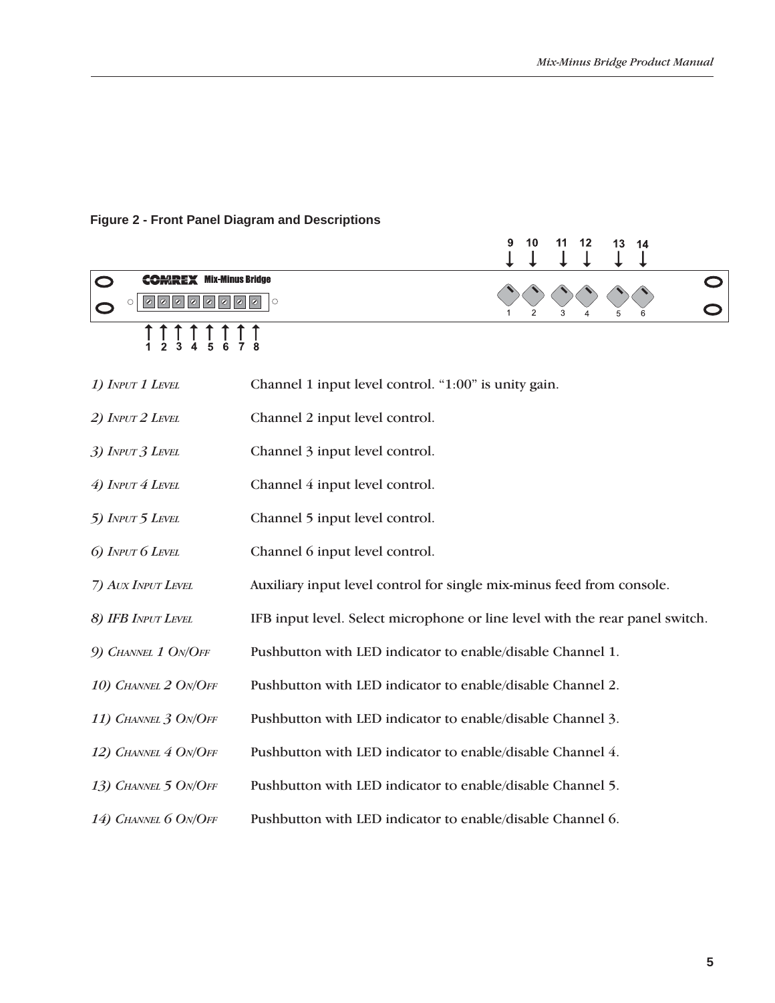## **Figure 2 - Front Panel Diagram and Descriptions**

|                                | 9<br>10<br>11<br>12<br>13<br>14                                              |
|--------------------------------|------------------------------------------------------------------------------|
| <b>COMREX Mix-Minus Bridge</b> | $\circ$                                                                      |
|                                |                                                                              |
| 1) INPUT 1 LEVEL               | Channel 1 input level control. "1:00" is unity gain.                         |
| 2) INPUT 2 LEVEL               | Channel 2 input level control.                                               |
| 3) INPUT 3 LEVEL               | Channel 3 input level control.                                               |
| 4) INPUT 4 LEVEL               | Channel 4 input level control.                                               |
| 5) INPUT 5 LEVEL               | Channel 5 input level control.                                               |
| 6) INPUT 6 LEVEL               | Channel 6 input level control.                                               |
| 7) AUX INPUT LEVEL             | Auxiliary input level control for single mix-minus feed from console.        |
| 8) IFB INPUT LEVEL             | IFB input level. Select microphone or line level with the rear panel switch. |
| 9) CHANNEL 1 ON/OFF            | Pushbutton with LED indicator to enable/disable Channel 1.                   |
| 10) CHANNEL 2 ON/OFF           | Pushbutton with LED indicator to enable/disable Channel 2.                   |
| 11) CHANNEL 3 ON/OFF           | Pushbutton with LED indicator to enable/disable Channel 3.                   |
| 12) CHANNEL 4 ON/OFF           | Pushbutton with LED indicator to enable/disable Channel 4.                   |
| 13) CHANNEL 5 ON/OFF           | Pushbutton with LED indicator to enable/disable Channel 5.                   |
| 14) CHANNEL 6 ON/OFF           | Pushbutton with LED indicator to enable/disable Channel 6.                   |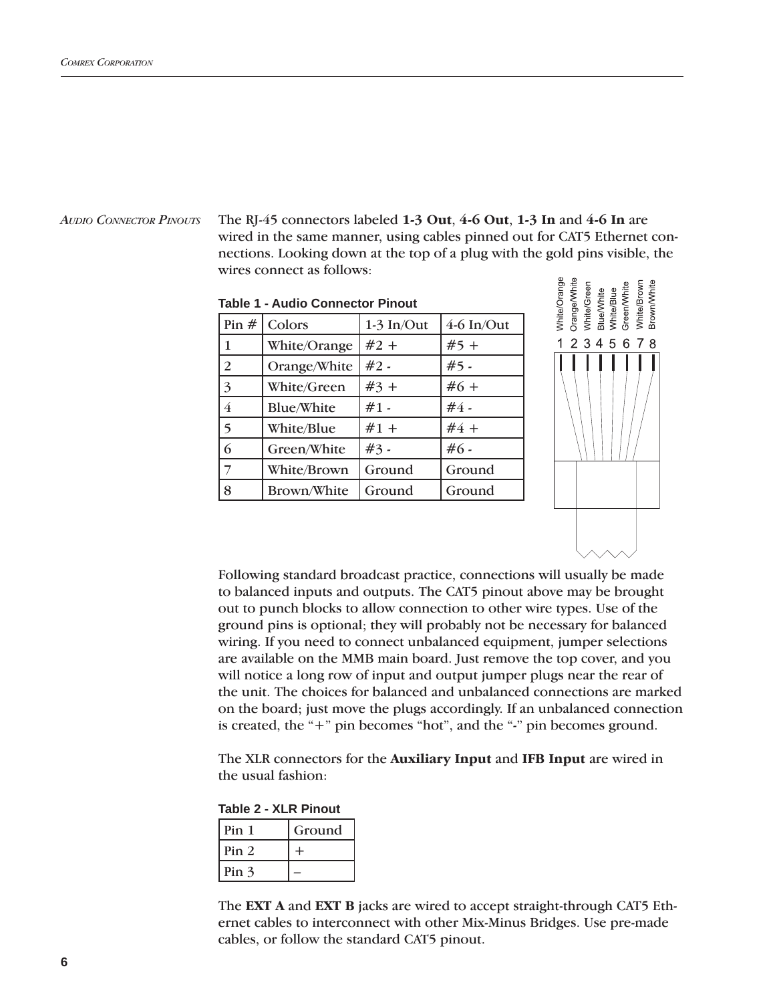*AUDIO CONNECTOR PINOUTS*

The RJ-45 connectors labeled **1-3 Out**, **4-6 Out**, **1-3 In** and **4-6 In** are wired in the same manner, using cables pinned out for CAT5 Ethernet connections. Looking down at the top of a plug with the gold pins visible, the wires connect as follows:

White/Green<br>Blue/White<br>White/Blue<br>Green/White

2 3 4 5 6 7

White/Brow **Brown/Whit** 

8

White/Orange Orange/White

 $\overline{1}$ 

|                 | Table T - Auglo Connector Pinout |                             |              |  |  |
|-----------------|----------------------------------|-----------------------------|--------------|--|--|
| Pin $#$         | Colors                           | $1-3 \text{ In}/\text{Out}$ | $4-6$ In/Out |  |  |
| $\vert$ 1       | White/Orange                     | $#2 +$                      | $#5 +$       |  |  |
| 2               | Orange/White                     | $#2 -$                      | $#5 -$       |  |  |
| $\vert 3 \vert$ | White/Green                      | $#3 +$                      | $#6 +$       |  |  |
| $\overline{4}$  | <b>Blue/White</b>                | $#1 -$                      | $#4 -$       |  |  |
| $\overline{5}$  | White/Blue                       | $#1 +$                      | $#4 +$       |  |  |
| 6               | Green/White                      | $#3 -$                      | $#6 -$       |  |  |
| $\overline{7}$  | White/Brown                      | Ground                      | Ground       |  |  |
| 8               | Brown/White                      | Ground                      | Ground       |  |  |
|                 |                                  |                             |              |  |  |





The XLR connectors for the **Auxiliary Input** and **IFB Input** are wired in the usual fashion:

**Table 2 - XLR Pinout**

| Pin <sub>1</sub> | Ground |
|------------------|--------|
| Pin <sub>2</sub> |        |
| Pin <sub>3</sub> |        |

The **EXT A** and **EXT B** jacks are wired to accept straight-through CAT5 Ethernet cables to interconnect with other Mix-Minus Bridges. Use pre-made cables, or follow the standard CAT5 pinout.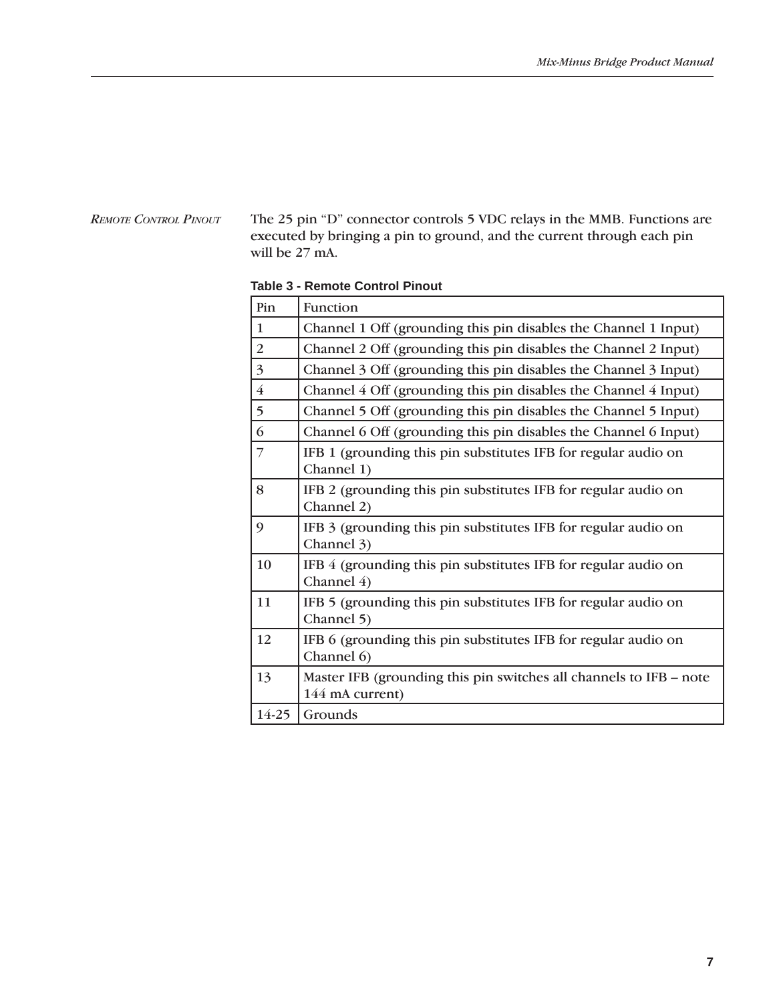#### *REMOTE CONTROL PINOUT*

The 25 pin "D" connector controls 5 VDC relays in the MMB. Functions are executed by bringing a pin to ground, and the current through each pin will be 27 mA.

| <b>Table 3 - Remote Control Pinout</b> |  |              |
|----------------------------------------|--|--------------|
|                                        |  | $\mathbf{R}$ |

| Pin            | Function                                                                              |
|----------------|---------------------------------------------------------------------------------------|
| $\mathbf{1}$   | Channel 1 Off (grounding this pin disables the Channel 1 Input)                       |
| 2              | Channel 2 Off (grounding this pin disables the Channel 2 Input)                       |
| $\overline{3}$ | Channel 3 Off (grounding this pin disables the Channel 3 Input)                       |
| $\overline{4}$ | Channel 4 Off (grounding this pin disables the Channel 4 Input)                       |
| 5              | Channel 5 Off (grounding this pin disables the Channel 5 Input)                       |
| 6              | Channel 6 Off (grounding this pin disables the Channel 6 Input)                       |
| $\overline{7}$ | IFB 1 (grounding this pin substitutes IFB for regular audio on<br>Channel 1)          |
| 8              | IFB 2 (grounding this pin substitutes IFB for regular audio on<br>Channel 2)          |
| 9              | IFB 3 (grounding this pin substitutes IFB for regular audio on<br>Channel 3)          |
| 10             | IFB 4 (grounding this pin substitutes IFB for regular audio on<br>Channel 4)          |
| 11             | IFB 5 (grounding this pin substitutes IFB for regular audio on<br>Channel 5)          |
| 12             | IFB 6 (grounding this pin substitutes IFB for regular audio on<br>Channel 6)          |
| 13             | Master IFB (grounding this pin switches all channels to IFB – note<br>144 mA current) |
| 14-25          | Grounds                                                                               |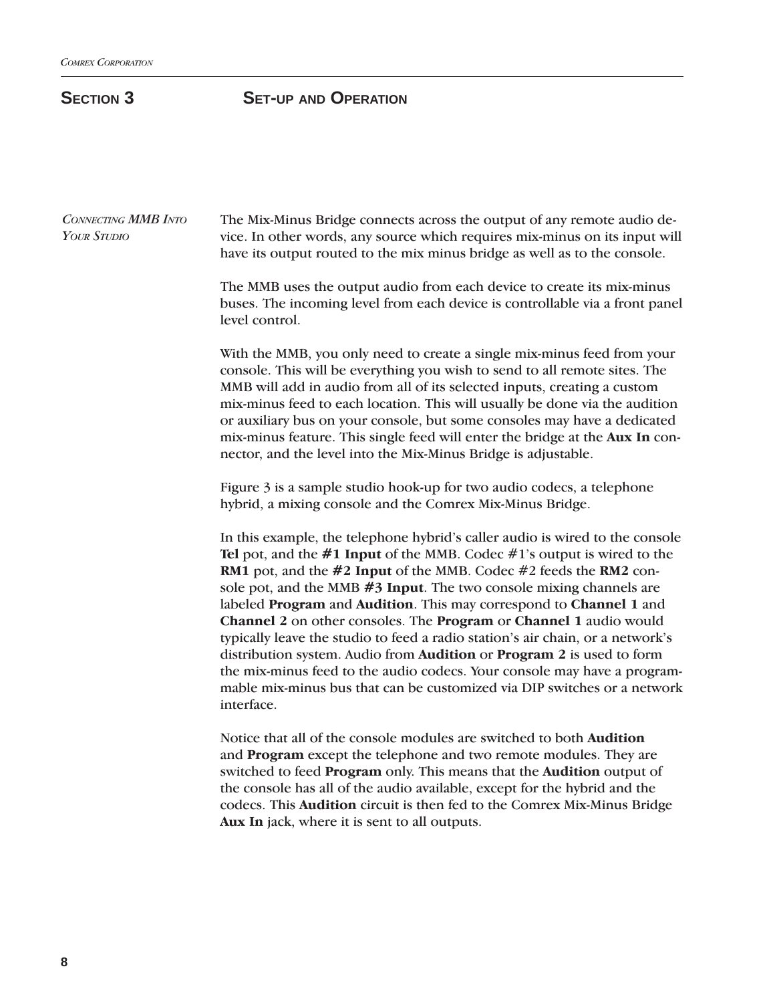### **SECTION 3 SET-UP AND OPERATION**

The Mix-Minus Bridge connects across the output of any remote audio device. In other words, any source which requires mix-minus on its input will have its output routed to the mix minus bridge as well as to the console. The MMB uses the output audio from each device to create its mix-minus buses. The incoming level from each device is controllable via a front panel level control. With the MMB, you only need to create a single mix-minus feed from your console. This will be everything you wish to send to all remote sites. The MMB will add in audio from all of its selected inputs, creating a custom mix-minus feed to each location. This will usually be done via the audition or auxiliary bus on your console, but some consoles may have a dedicated mix-minus feature. This single feed will enter the bridge at the **Aux In** connector, and the level into the Mix-Minus Bridge is adjustable. Figure 3 is a sample studio hook-up for two audio codecs, a telephone hybrid, a mixing console and the Comrex Mix-Minus Bridge. In this example, the telephone hybrid's caller audio is wired to the console **Tel** pot, and the **#1 Input** of the MMB. Codec #1's output is wired to the **RM1** pot, and the **#2 Input** of the MMB. Codec #2 feeds the **RM2** console pot, and the MMB **#3 Input**. The two console mixing channels are labeled **Program** and **Audition**. This may correspond to **Channel 1** and **Channel 2** on other consoles. The **Program** or **Channel 1** audio would typically leave the studio to feed a radio station's air chain, or a network's distribution system. Audio from **Audition** or **Program 2** is used to form the mix-minus feed to the audio codecs. Your console may have a programmable mix-minus bus that can be customized via DIP switches or a network interface. Notice that all of the console modules are switched to both **Audition** and **Program** except the telephone and two remote modules. They are switched to feed **Program** only. This means that the **Audition** output of the console has all of the audio available, except for the hybrid and the codecs. This **Audition** circuit is then fed to the Comrex Mix-Minus Bridge *CONNECTING MMB INTO YOUR STUDIO*

**Aux In** jack, where it is sent to all outputs.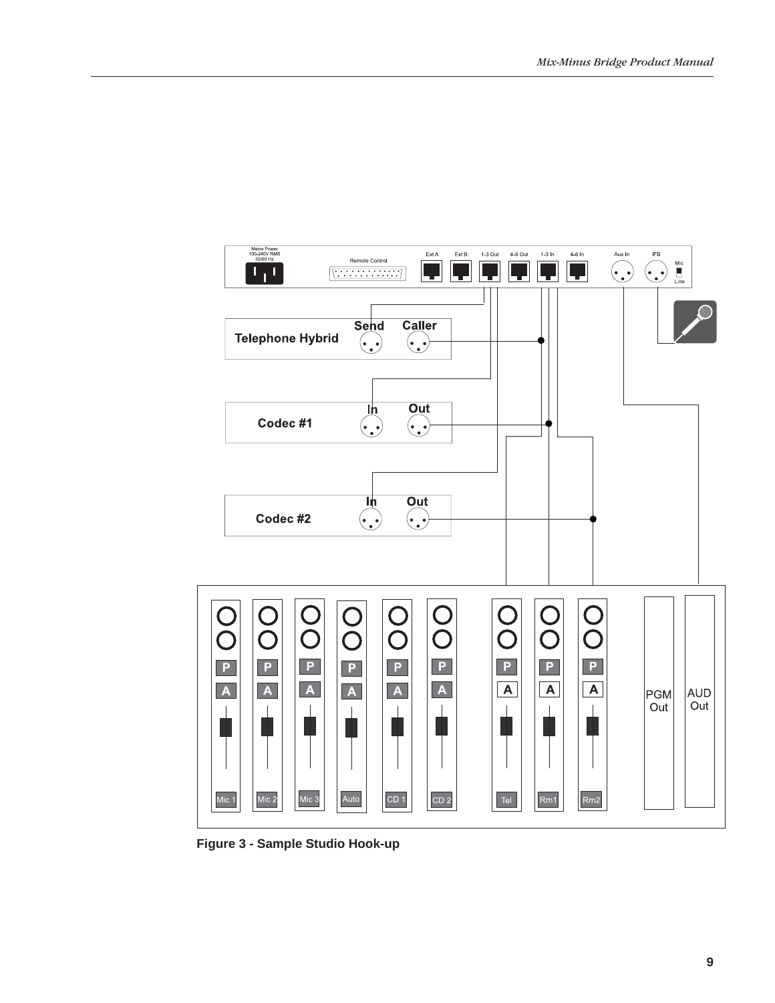

**Figure 3 - Sample Studio Hook-up**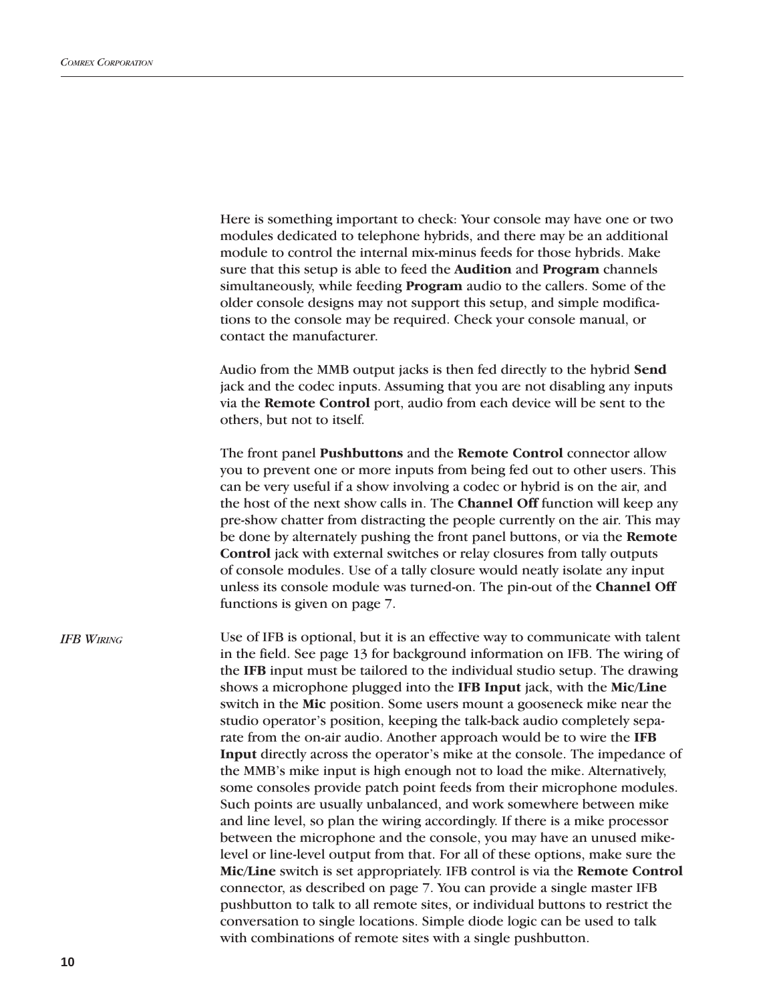|                   | Here is something important to check: Your console may have one or two<br>modules dedicated to telephone hybrids, and there may be an additional<br>module to control the internal mix-minus feeds for those hybrids. Make<br>sure that this setup is able to feed the Audition and Program channels<br>simultaneously, while feeding Program audio to the callers. Some of the<br>older console designs may not support this setup, and simple modifica-<br>tions to the console may be required. Check your console manual, or<br>contact the manufacturer.                                                                                                                                                                                                                                                                                                                                                                                                                                                                                                                                                                                                                                                                                                                                                                                                                                                                                                                              |
|-------------------|--------------------------------------------------------------------------------------------------------------------------------------------------------------------------------------------------------------------------------------------------------------------------------------------------------------------------------------------------------------------------------------------------------------------------------------------------------------------------------------------------------------------------------------------------------------------------------------------------------------------------------------------------------------------------------------------------------------------------------------------------------------------------------------------------------------------------------------------------------------------------------------------------------------------------------------------------------------------------------------------------------------------------------------------------------------------------------------------------------------------------------------------------------------------------------------------------------------------------------------------------------------------------------------------------------------------------------------------------------------------------------------------------------------------------------------------------------------------------------------------|
|                   | Audio from the MMB output jacks is then fed directly to the hybrid Send<br>jack and the codec inputs. Assuming that you are not disabling any inputs<br>via the Remote Control port, audio from each device will be sent to the<br>others, but not to itself.                                                                                                                                                                                                                                                                                                                                                                                                                                                                                                                                                                                                                                                                                                                                                                                                                                                                                                                                                                                                                                                                                                                                                                                                                              |
|                   | The front panel Pushbuttons and the Remote Control connector allow<br>you to prevent one or more inputs from being fed out to other users. This<br>can be very useful if a show involving a codec or hybrid is on the air, and<br>the host of the next show calls in. The <b>Channel Off</b> function will keep any<br>pre-show chatter from distracting the people currently on the air. This may<br>be done by alternately pushing the front panel buttons, or via the Remote<br>Control jack with external switches or relay closures from tally outputs<br>of console modules. Use of a tally closure would neatly isolate any input<br>unless its console module was turned-on. The pin-out of the Channel Off<br>functions is given on page 7.                                                                                                                                                                                                                                                                                                                                                                                                                                                                                                                                                                                                                                                                                                                                       |
| <b>IFB WIRING</b> | Use of IFB is optional, but it is an effective way to communicate with talent<br>in the field. See page 13 for background information on IFB. The wiring of<br>the IFB input must be tailored to the individual studio setup. The drawing<br>shows a microphone plugged into the IFB Input jack, with the Mic/Line<br>switch in the Mic position. Some users mount a gooseneck mike near the<br>studio operator's position, keeping the talk-back audio completely sepa-<br>rate from the on-air audio. Another approach would be to wire the IFB<br>Input directly across the operator's mike at the console. The impedance of<br>the MMB's mike input is high enough not to load the mike. Alternatively,<br>some consoles provide patch point feeds from their microphone modules.<br>Such points are usually unbalanced, and work somewhere between mike<br>and line level, so plan the wiring accordingly. If there is a mike processor<br>between the microphone and the console, you may have an unused mike-<br>level or line-level output from that. For all of these options, make sure the<br>Mic/Line switch is set appropriately. IFB control is via the Remote Control<br>connector, as described on page 7. You can provide a single master IFB<br>pushbutton to talk to all remote sites, or individual buttons to restrict the<br>conversation to single locations. Simple diode logic can be used to talk<br>with combinations of remote sites with a single pushbutton. |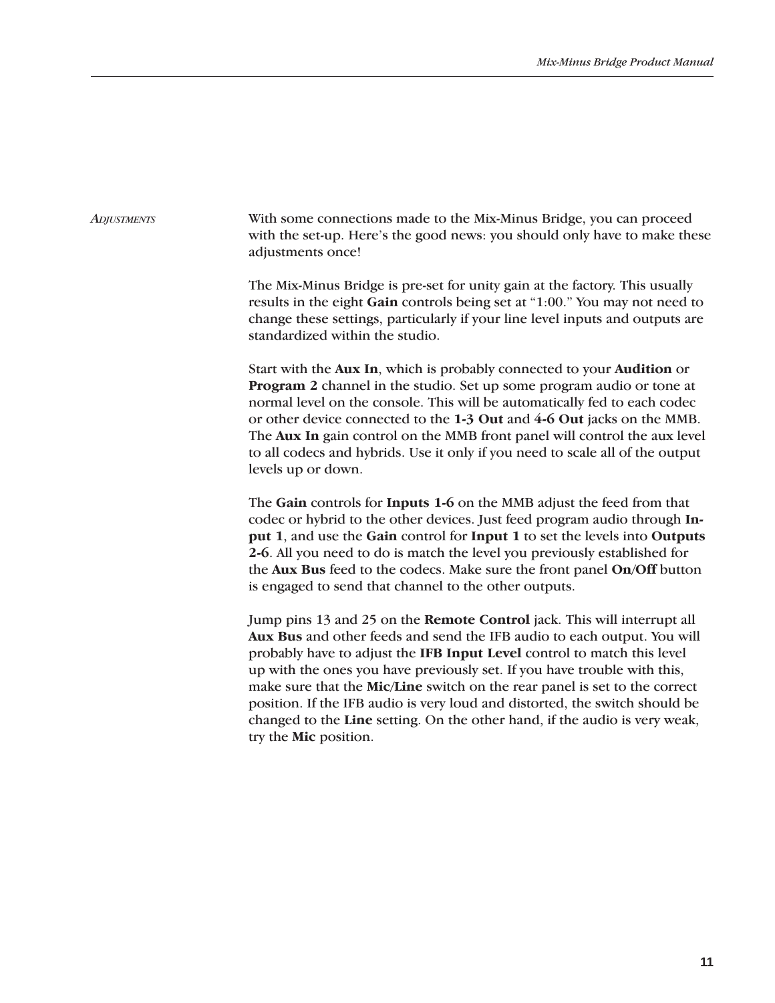With some connections made to the Mix-Minus Bridge, you can proceed with the set-up. Here's the good news: you should only have to make these adjustments once! *ADJUSTMENTS*

> The Mix-Minus Bridge is pre-set for unity gain at the factory. This usually results in the eight **Gain** controls being set at "1:00." You may not need to change these settings, particularly if your line level inputs and outputs are standardized within the studio.

> Start with the **Aux In**, which is probably connected to your **Audition** or **Program 2** channel in the studio. Set up some program audio or tone at normal level on the console. This will be automatically fed to each codec or other device connected to the **1-3 Out** and **4-6 Out** jacks on the MMB. The **Aux In** gain control on the MMB front panel will control the aux level to all codecs and hybrids. Use it only if you need to scale all of the output levels up or down.

> The **Gain** controls for **Inputs 1-6** on the MMB adjust the feed from that codec or hybrid to the other devices. Just feed program audio through **Input 1**, and use the **Gain** control for **Input 1** to set the levels into **Outputs 2-6**. All you need to do is match the level you previously established for the **Aux Bus** feed to the codecs. Make sure the front panel **On/Off** button is engaged to send that channel to the other outputs.

> Jump pins 13 and 25 on the **Remote Control** jack. This will interrupt all **Aux Bus** and other feeds and send the IFB audio to each output. You will probably have to adjust the **IFB Input Level** control to match this level up with the ones you have previously set. If you have trouble with this, make sure that the **Mic/Line** switch on the rear panel is set to the correct position. If the IFB audio is very loud and distorted, the switch should be changed to the **Line** setting. On the other hand, if the audio is very weak, try the **Mic** position.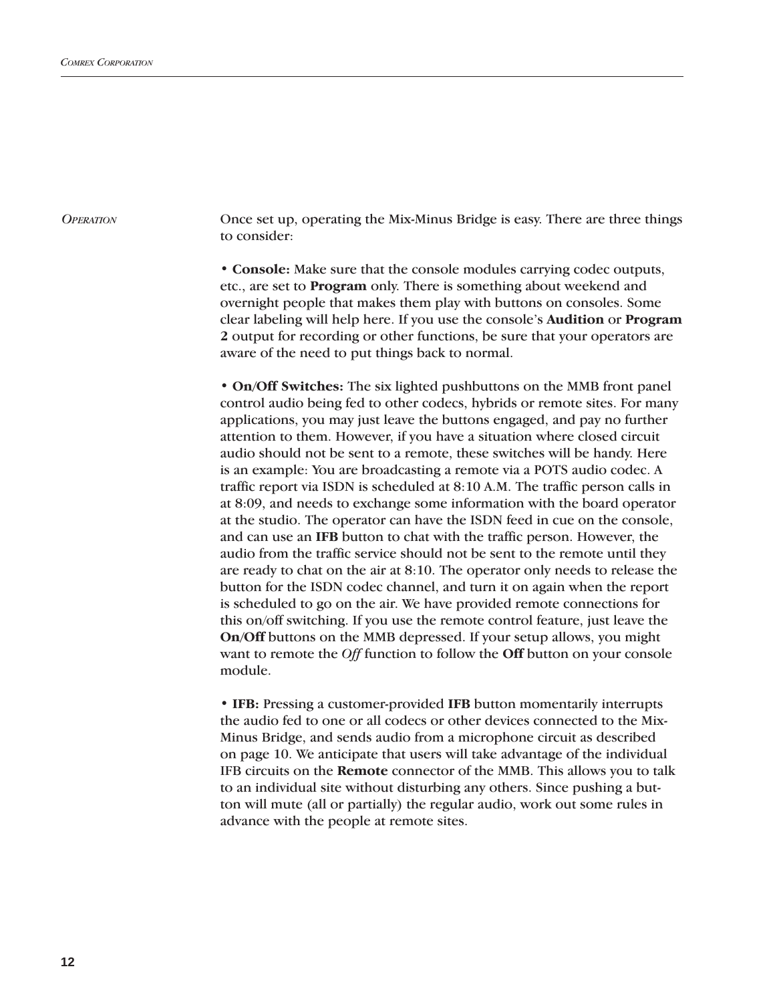*OPERATION*

Once set up, operating the Mix-Minus Bridge is easy. There are three things to consider:

**• Console:** Make sure that the console modules carrying codec outputs, etc., are set to **Program** only. There is something about weekend and overnight people that makes them play with buttons on consoles. Some clear labeling will help here. If you use the console's **Audition** or **Program 2** output for recording or other functions, be sure that your operators are aware of the need to put things back to normal.

**• On/Off Switches:** The six lighted pushbuttons on the MMB front panel control audio being fed to other codecs, hybrids or remote sites. For many applications, you may just leave the buttons engaged, and pay no further attention to them. However, if you have a situation where closed circuit audio should not be sent to a remote, these switches will be handy. Here is an example: You are broadcasting a remote via a POTS audio codec. A traffic report via ISDN is scheduled at 8:10 A.M. The traffic person calls in at 8:09, and needs to exchange some information with the board operator at the studio. The operator can have the ISDN feed in cue on the console, and can use an **IFB** button to chat with the traffic person. However, the audio from the traffic service should not be sent to the remote until they are ready to chat on the air at 8:10. The operator only needs to release the button for the ISDN codec channel, and turn it on again when the report is scheduled to go on the air. We have provided remote connections for this on/off switching. If you use the remote control feature, just leave the **On/Off** buttons on the MMB depressed. If your setup allows, you might want to remote the *Off* function to follow the **Off** button on your console module.

**• IFB:** Pressing a customer-provided **IFB** button momentarily interrupts the audio fed to one or all codecs or other devices connected to the Mix-Minus Bridge, and sends audio from a microphone circuit as described on page 10. We anticipate that users will take advantage of the individual IFB circuits on the **Remote** connector of the MMB. This allows you to talk to an individual site without disturbing any others. Since pushing a button will mute (all or partially) the regular audio, work out some rules in advance with the people at remote sites.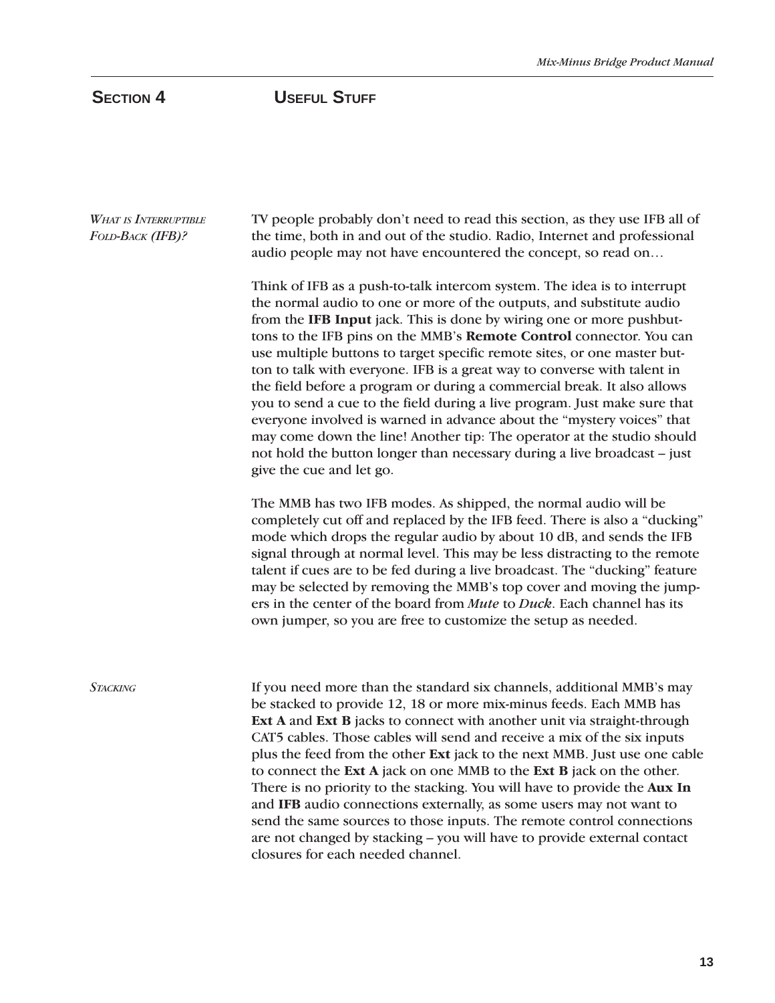SECTION 4 USEFUL STUFF

| <b>WHAT IS INTERRUPTIBLE</b><br>FOLD-BACK (IFB)? | TV people probably don't need to read this section, as they use IFB all of<br>the time, both in and out of the studio. Radio, Internet and professional<br>audio people may not have encountered the concept, so read on                                                                                                                                                                                                                                                                                                                                                                                                                                                                                                                                                                                                                                                    |  |  |
|--------------------------------------------------|-----------------------------------------------------------------------------------------------------------------------------------------------------------------------------------------------------------------------------------------------------------------------------------------------------------------------------------------------------------------------------------------------------------------------------------------------------------------------------------------------------------------------------------------------------------------------------------------------------------------------------------------------------------------------------------------------------------------------------------------------------------------------------------------------------------------------------------------------------------------------------|--|--|
|                                                  | Think of IFB as a push-to-talk intercom system. The idea is to interrupt<br>the normal audio to one or more of the outputs, and substitute audio<br>from the IFB Input jack. This is done by wiring one or more pushbut-<br>tons to the IFB pins on the MMB's Remote Control connector. You can<br>use multiple buttons to target specific remote sites, or one master but-<br>ton to talk with everyone. IFB is a great way to converse with talent in<br>the field before a program or during a commercial break. It also allows<br>you to send a cue to the field during a live program. Just make sure that<br>everyone involved is warned in advance about the "mystery voices" that<br>may come down the line! Another tip: The operator at the studio should<br>not hold the button longer than necessary during a live broadcast - just<br>give the cue and let go. |  |  |
|                                                  | The MMB has two IFB modes. As shipped, the normal audio will be<br>completely cut off and replaced by the IFB feed. There is also a "ducking"<br>mode which drops the regular audio by about 10 dB, and sends the IFB<br>signal through at normal level. This may be less distracting to the remote<br>talent if cues are to be fed during a live broadcast. The "ducking" feature<br>may be selected by removing the MMB's top cover and moving the jump-<br>ers in the center of the board from Mute to Duck. Each channel has its<br>own jumper, so you are free to customize the setup as needed.                                                                                                                                                                                                                                                                       |  |  |
| <b>STACKING</b>                                  | If you need more than the standard six channels, additional MMB's may<br>be stacked to provide 12, 18 or more mix-minus feeds. Each MMB has<br>Ext A and Ext B jacks to connect with another unit via straight-through<br>CAT5 cables. Those cables will send and receive a mix of the six inputs<br>plus the feed from the other Ext jack to the next MMB. Just use one cable<br>to connect the Ext A jack on one MMB to the Ext B jack on the other.<br>There is no priority to the stacking. You will have to provide the Aux In<br>and IFB audio connections externally, as some users may not want to<br>send the same sources to those inputs. The remote control connections                                                                                                                                                                                         |  |  |

closures for each needed channel.

are not changed by stacking – you will have to provide external contact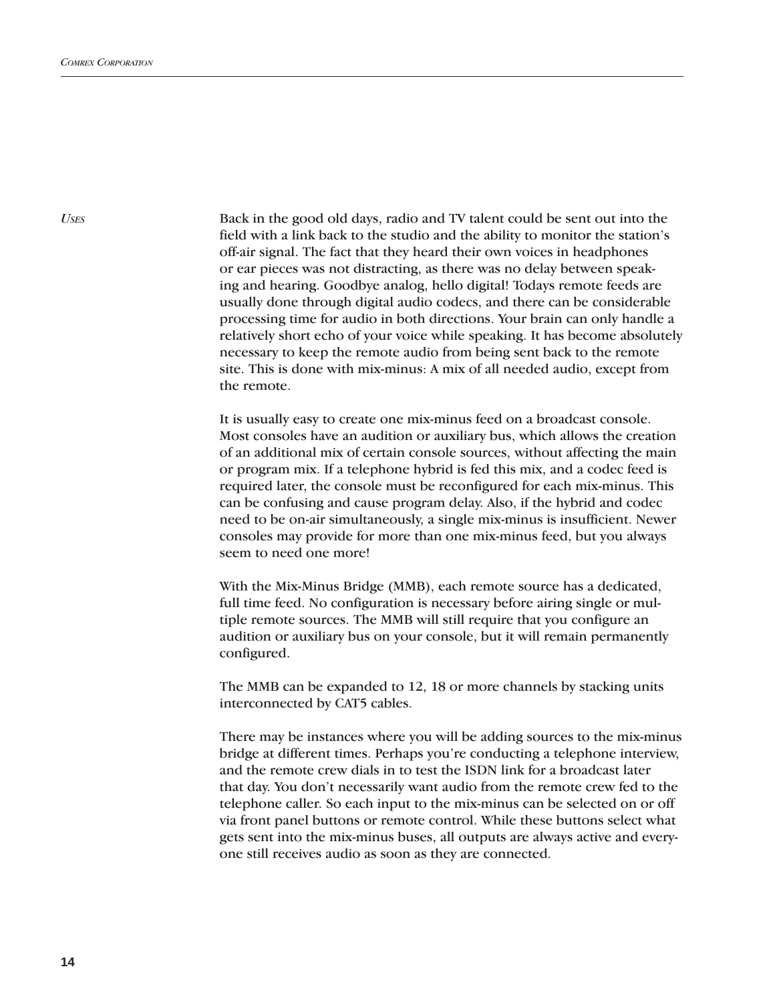*USES*

Back in the good old days, radio and TV talent could be sent out into the field with a link back to the studio and the ability to monitor the station's off-air signal. The fact that they heard their own voices in headphones or ear pieces was not distracting, as there was no delay between speaking and hearing. Goodbye analog, hello digital! Todays remote feeds are usually done through digital audio codecs, and there can be considerable processing time for audio in both directions. Your brain can only handle a relatively short echo of your voice while speaking. It has become absolutely necessary to keep the remote audio from being sent back to the remote site. This is done with mix-minus: A mix of all needed audio, except from the remote.

It is usually easy to create one mix-minus feed on a broadcast console. Most consoles have an audition or auxiliary bus, which allows the creation of an additional mix of certain console sources, without affecting the main or program mix. If a telephone hybrid is fed this mix, and a codec feed is required later, the console must be reconfigured for each mix-minus. This can be confusing and cause program delay. Also, if the hybrid and codec need to be on-air simultaneously, a single mix-minus is insufficient. Newer consoles may provide for more than one mix-minus feed, but you always seem to need one more!

With the Mix-Minus Bridge (MMB), each remote source has a dedicated, full time feed. No configuration is necessary before airing single or multiple remote sources. The MMB will still require that you configure an audition or auxiliary bus on your console, but it will remain permanently configured.

The MMB can be expanded to 12, 18 or more channels by stacking units interconnected by CAT5 cables.

There may be instances where you will be adding sources to the mix-minus bridge at different times. Perhaps you're conducting a telephone interview, and the remote crew dials in to test the ISDN link for a broadcast later that day. You don't necessarily want audio from the remote crew fed to the telephone caller. So each input to the mix-minus can be selected on or off via front panel buttons or remote control. While these buttons select what gets sent into the mix-minus buses, all outputs are always active and everyone still receives audio as soon as they are connected.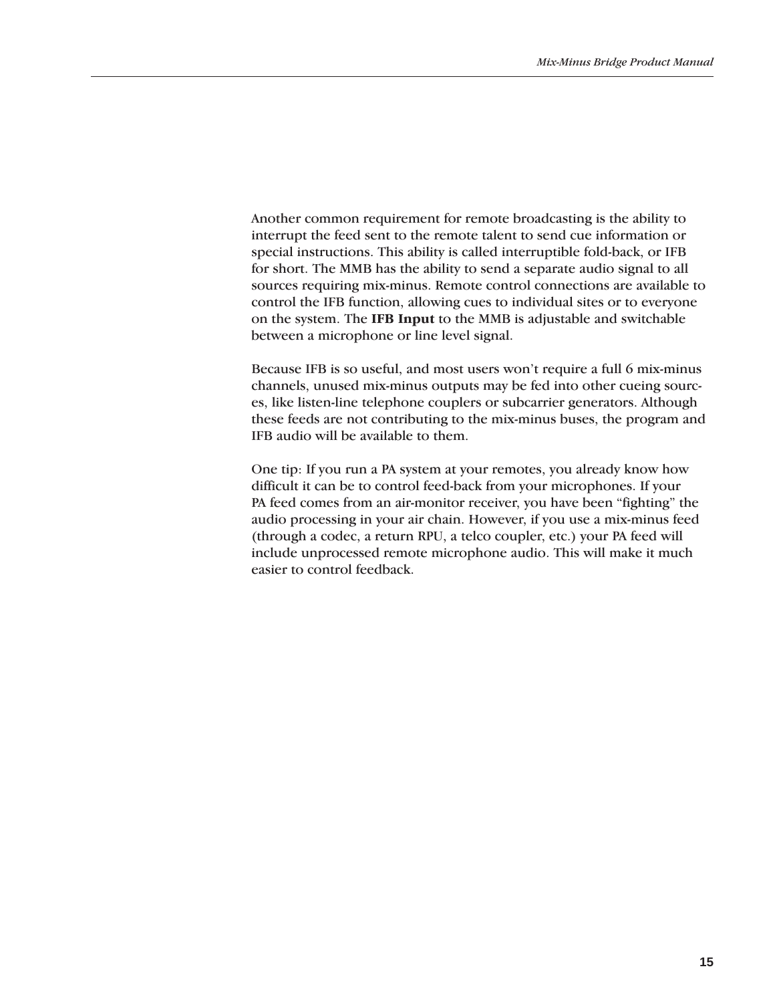Another common requirement for remote broadcasting is the ability to interrupt the feed sent to the remote talent to send cue information or special instructions. This ability is called interruptible fold-back, or IFB for short. The MMB has the ability to send a separate audio signal to all sources requiring mix-minus. Remote control connections are available to control the IFB function, allowing cues to individual sites or to everyone on the system. The **IFB Input** to the MMB is adjustable and switchable between a microphone or line level signal.

Because IFB is so useful, and most users won't require a full 6 mix-minus channels, unused mix-minus outputs may be fed into other cueing sources, like listen-line telephone couplers or subcarrier generators. Although these feeds are not contributing to the mix-minus buses, the program and IFB audio will be available to them.

One tip: If you run a PA system at your remotes, you already know how difficult it can be to control feed-back from your microphones. If your PA feed comes from an air-monitor receiver, you have been "fighting" the audio processing in your air chain. However, if you use a mix-minus feed (through a codec, a return RPU, a telco coupler, etc.) your PA feed will include unprocessed remote microphone audio. This will make it much easier to control feedback.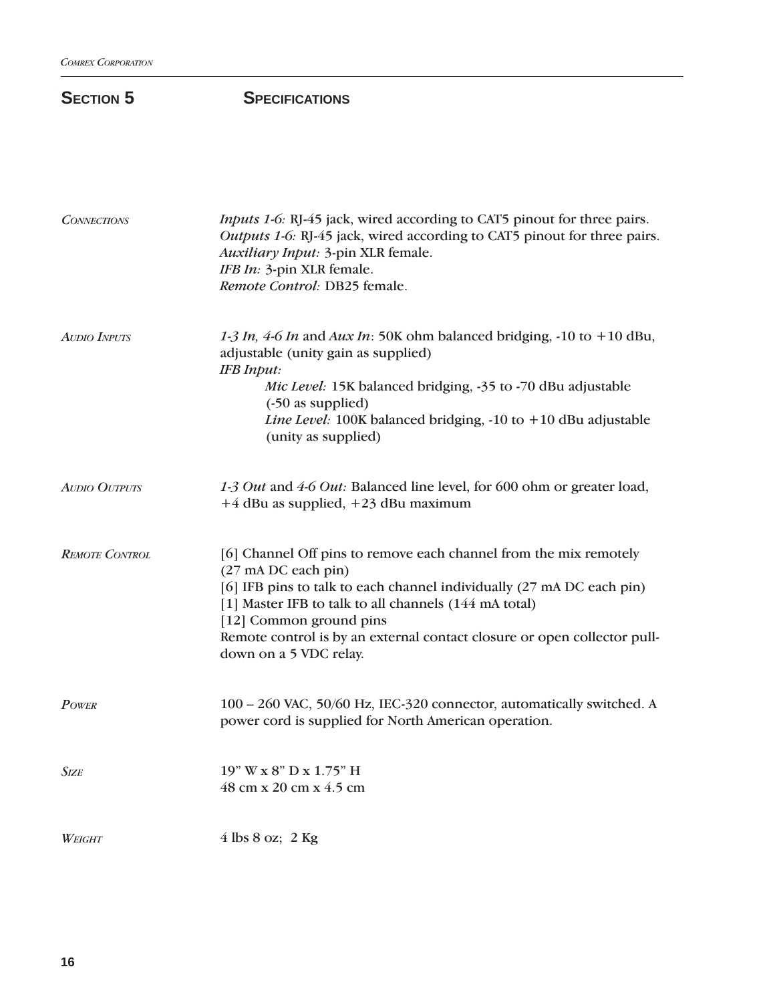## **SECTION 5** SPECIFICATIONS

| <b>CONNECTIONS</b>    | Inputs 1-6: RJ-45 jack, wired according to CAT5 pinout for three pairs.<br>Outputs 1-6: RJ-45 jack, wired according to CAT5 pinout for three pairs.<br>Auxiliary Input: 3-pin XLR female.<br>IFB In: 3-pin XLR female.<br>Remote Control: DB25 female.                                                                                                      |
|-----------------------|-------------------------------------------------------------------------------------------------------------------------------------------------------------------------------------------------------------------------------------------------------------------------------------------------------------------------------------------------------------|
| <b>AUDIO INPUTS</b>   | 1-3 In, 4-6 In and Aux In: 50K ohm balanced bridging, -10 to +10 dBu,<br>adjustable (unity gain as supplied)<br><b>IFB</b> Input:<br>Mic Level: 15K balanced bridging, -35 to -70 dBu adjustable<br>(-50 as supplied)<br>Line Level: 100K balanced bridging, -10 to +10 dBu adjustable<br>(unity as supplied)                                               |
| <b>AUDIO OUTPUTS</b>  | 1-3 Out and 4-6 Out: Balanced line level, for 600 ohm or greater load,<br>$+4$ dBu as supplied, $+23$ dBu maximum                                                                                                                                                                                                                                           |
| <b>REMOTE CONTROL</b> | [6] Channel Off pins to remove each channel from the mix remotely<br>(27 mA DC each pin)<br>[6] IFB pins to talk to each channel individually (27 mA DC each pin)<br>[1] Master IFB to talk to all channels (144 mA total)<br>[12] Common ground pins<br>Remote control is by an external contact closure or open collector pull-<br>down on a 5 VDC relay. |
| <b>POWER</b>          | 100 - 260 VAC, 50/60 Hz, IEC-320 connector, automatically switched. A<br>power cord is supplied for North American operation.                                                                                                                                                                                                                               |
| <b>SIZE</b>           | 19" W x 8" D x 1.75" H<br>48 cm x 20 cm x 4.5 cm                                                                                                                                                                                                                                                                                                            |
| WEIGHT                | $4$ lbs $8$ oz; 2 Kg                                                                                                                                                                                                                                                                                                                                        |